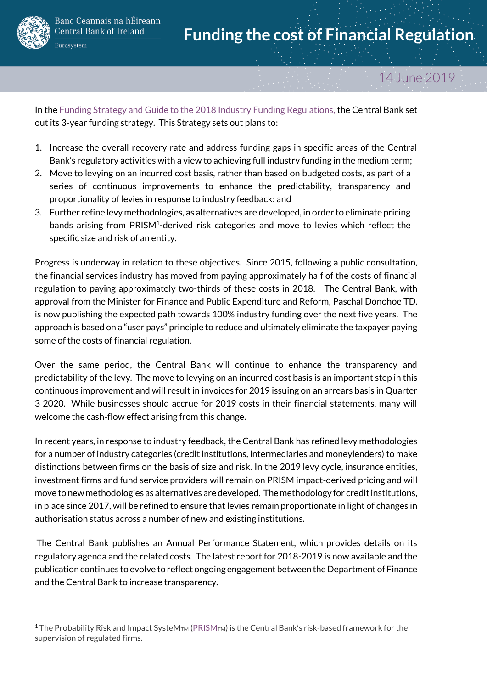

ı

## 14 June 2019

In th[e Funding Strategy and Guide to the 2018 Industry Funding Regulations,](https://www.centralbank.ie/docs/default-source/regulation/how-we-regulate/fees-levies/industry-funding-levy/guidance/funding-strategy-and-guide-to-the-2018-industry-funding-regulations.pdf?sfvrsn=4) the Central Bank set out its 3-year funding strategy. This Strategy sets out plans to:

- 1. Increase the overall recovery rate and address funding gaps in specific areas of the Central Bank's regulatory activities with a view to achieving full industry funding in the medium term;
- 2. Move to levying on an incurred cost basis, rather than based on budgeted costs, as part of a series of continuous improvements to enhance the predictability, transparency and proportionality of levies in response to industry feedback; and
- 3. Further refine levy methodologies, as alternatives are developed, in order to eliminate pricing bands arising from PRISM<sup>1</sup>-derived risk categories and move to levies which reflect the specific size and risk of an entity.

Progress is underway in relation to these objectives. Since 2015, following a public consultation, the financial services industry has moved from paying approximately half of the costs of financial regulation to paying approximately two-thirds of these costs in 2018. The Central Bank, with approval from the Minister for Finance and Public Expenditure and Reform, Paschal Donohoe TD, is now publishing the expected path towards 100% industry funding over the next five years. The approach is based on a "user pays" principle to reduce and ultimately eliminate the taxpayer paying some of the costs of financial regulation.

Over the same period, the Central Bank will continue to enhance the transparency and predictability of the levy. The move to levying on an incurred cost basis is an important step in this continuous improvement and will result in invoices for 2019 issuing on an arrears basis in Quarter 3 2020. While businesses should accrue for 2019 costs in their financial statements, many will welcome the cash-flow effect arising from this change.

In recent years, in response to industry feedback, the Central Bank has refined levy methodologies for a number of industry categories (credit institutions, intermediaries and moneylenders) to make distinctions between firms on the basis of size and risk. In the 2019 levy cycle, insurance entities, investment firms and fund service providers will remain on PRISM impact-derived pricing and will move to new methodologies as alternatives are developed. The methodology for credit institutions, in place since 2017, will be refined to ensure that levies remain proportionate in light of changes in authorisation status across a number of new and existing institutions.

The Central Bank publishes an Annual Performance Statement, which provides details on its regulatory agenda and the related costs. The latest report for 2018-2019 is now available and the publication continues to evolve to reflect ongoing engagement between the Department of Finance and the Central Bank to increase transparency.

<sup>&</sup>lt;sup>1</sup> The Probability Risk and Impact SysteM<sub>TM</sub> ( $PRISM$ <sub>TM</sub>) is the Central Bank's risk-based framework for the supervision of regulated firms.